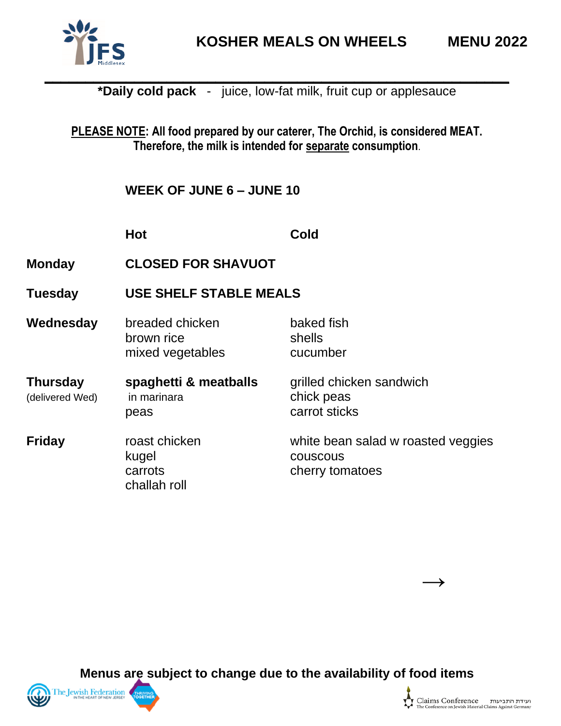

**PLEASE NOTE: All food prepared by our caterer, The Orchid, is considered MEAT. Therefore, the milk is intended for separate consumption**.

**WEEK OF JUNE 6 – JUNE 10**

**Hot Cold**

- **Monday CLOSED FOR SHAVUOT**
- **Tuesday USE SHELF STABLE MEALS**
- **Wednesday** breaded chicken baked fish brown rice shells mixed vegetables cucumber
- **Thursday spaghetti & meatballs** grilled chicken sandwich (delivered Wed) in marinara chick peas peas carrot sticks
- kugel couscous challah roll

**Friday** roast chicken white bean salad w roasted veggies carrots carrots cherry tomatoes

**Menus are subject to change due to the availability of food items**



**→**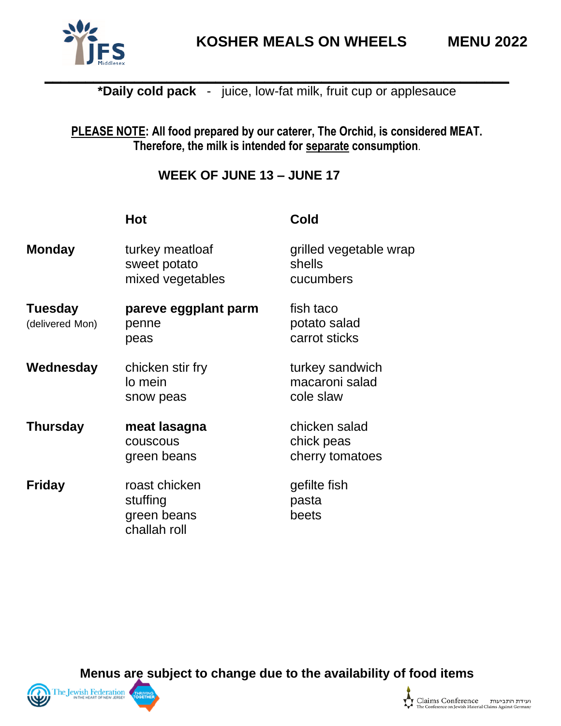

#### **PLEASE NOTE: All food prepared by our caterer, The Orchid, is considered MEAT. Therefore, the milk is intended for separate consumption**.

## **WEEK OF JUNE 13 – JUNE 17**

|                            | <b>Hot</b>                                               | Cold                                           |
|----------------------------|----------------------------------------------------------|------------------------------------------------|
| <b>Monday</b>              | turkey meatloaf<br>sweet potato<br>mixed vegetables      | grilled vegetable wrap<br>shells<br>cucumbers  |
| Tuesday<br>(delivered Mon) | pareve eggplant parm<br>penne<br>peas                    | fish taco<br>potato salad<br>carrot sticks     |
| Wednesday                  | chicken stir fry<br>lo mein<br>snow peas                 | turkey sandwich<br>macaroni salad<br>cole slaw |
| <b>Thursday</b>            | meat lasagna<br><b>COUSCOUS</b><br>green beans           | chicken salad<br>chick peas<br>cherry tomatoes |
| <b>Friday</b>              | roast chicken<br>stuffing<br>green beans<br>challah roll | gefilte fish<br>pasta<br>beets                 |

**Menus are subject to change due to the availability of food items**



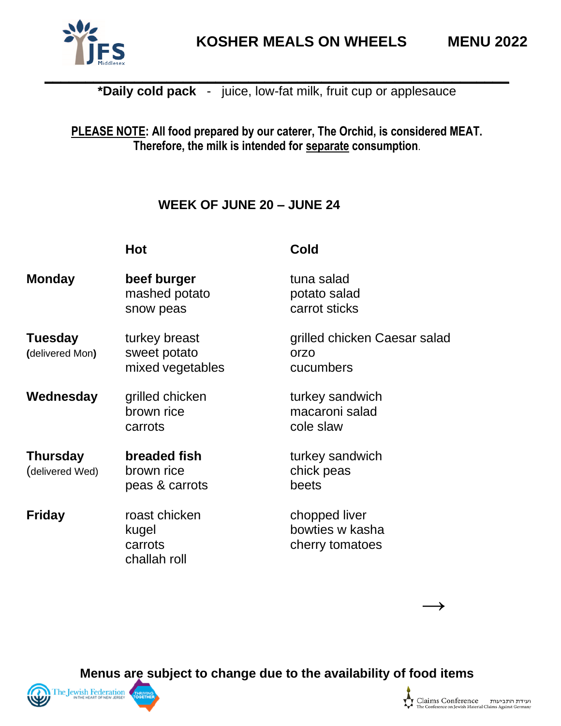

## **PLEASE NOTE: All food prepared by our caterer, The Orchid, is considered MEAT. Therefore, the milk is intended for separate consumption**.

# **WEEK OF JUNE 20 – JUNE 24**

|                                    | <b>Hot</b>                                        | Cold                                                     |
|------------------------------------|---------------------------------------------------|----------------------------------------------------------|
| <b>Monday</b>                      | beef burger<br>mashed potato<br>snow peas         | tuna salad<br>potato salad<br>carrot sticks              |
| <b>Tuesday</b><br>(delivered Mon)  | turkey breast<br>sweet potato<br>mixed vegetables | grilled chicken Caesar salad<br><b>Orzo</b><br>cucumbers |
| Wednesday                          | grilled chicken<br>brown rice<br>carrots          | turkey sandwich<br>macaroni salad<br>cole slaw           |
| <b>Thursday</b><br>(delivered Wed) | breaded fish<br>brown rice<br>peas & carrots      | turkey sandwich<br>chick peas<br>beets                   |
| <b>Friday</b>                      | roast chicken<br>kugel<br>carrots<br>challah roll | chopped liver<br>bowties w kasha<br>cherry tomatoes      |

**Menus are subject to change due to the availability of food items**



**→**